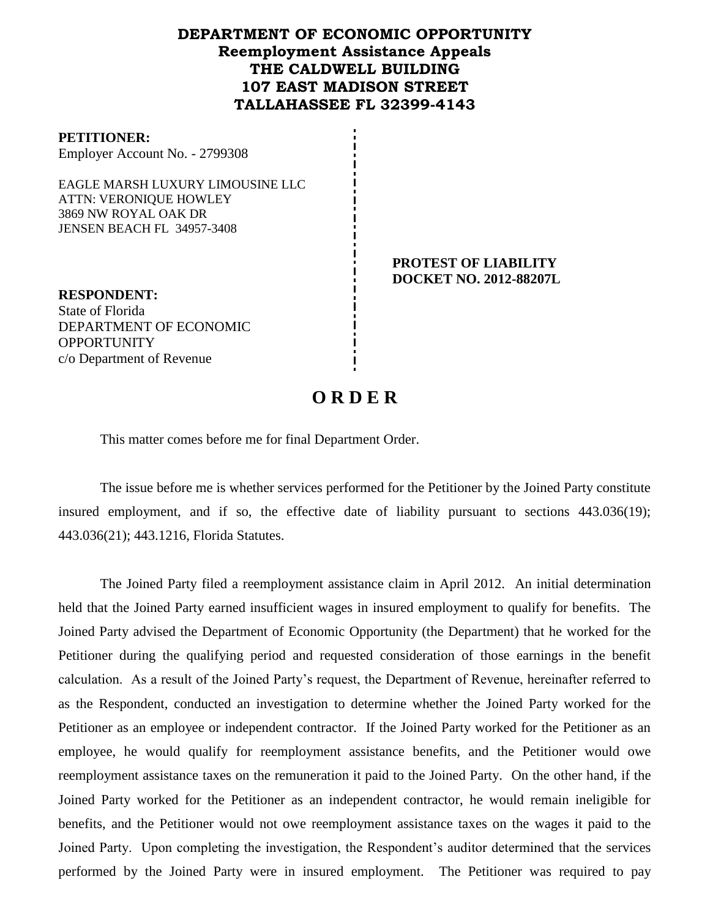## **DEPARTMENT OF ECONOMIC OPPORTUNITY Reemployment Assistance Appeals THE CALDWELL BUILDING 107 EAST MADISON STREET TALLAHASSEE FL 32399-4143**

#### **PETITIONER:**

Employer Account No. - 2799308

EAGLE MARSH LUXURY LIMOUSINE LLC ATTN: VERONIQUE HOWLEY 3869 NW ROYAL OAK DR JENSEN BEACH FL 34957-3408

> **PROTEST OF LIABILITY DOCKET NO. 2012-88207L**

**RESPONDENT:** State of Florida DEPARTMENT OF ECONOMIC **OPPORTUNITY** c/o Department of Revenue

# **O R D E R**

This matter comes before me for final Department Order.

The issue before me is whether services performed for the Petitioner by the Joined Party constitute insured employment, and if so, the effective date of liability pursuant to sections 443.036(19); 443.036(21); 443.1216, Florida Statutes.

The Joined Party filed a reemployment assistance claim in April 2012. An initial determination held that the Joined Party earned insufficient wages in insured employment to qualify for benefits. The Joined Party advised the Department of Economic Opportunity (the Department) that he worked for the Petitioner during the qualifying period and requested consideration of those earnings in the benefit calculation. As a result of the Joined Party's request, the Department of Revenue, hereinafter referred to as the Respondent, conducted an investigation to determine whether the Joined Party worked for the Petitioner as an employee or independent contractor. If the Joined Party worked for the Petitioner as an employee, he would qualify for reemployment assistance benefits, and the Petitioner would owe reemployment assistance taxes on the remuneration it paid to the Joined Party. On the other hand, if the Joined Party worked for the Petitioner as an independent contractor, he would remain ineligible for benefits, and the Petitioner would not owe reemployment assistance taxes on the wages it paid to the Joined Party. Upon completing the investigation, the Respondent's auditor determined that the services performed by the Joined Party were in insured employment. The Petitioner was required to pay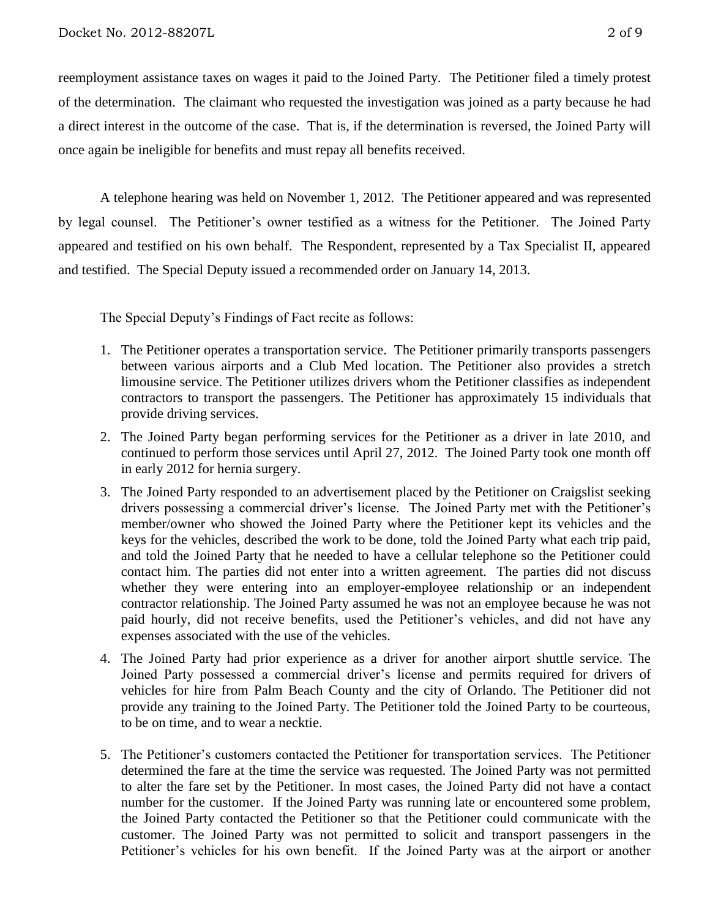reemployment assistance taxes on wages it paid to the Joined Party.The Petitioner filed a timely protest of the determination.The claimant who requested the investigation was joined as a party because he had a direct interest in the outcome of the case. That is, if the determination is reversed, the Joined Party will once again be ineligible for benefits and must repay all benefits received.

A telephone hearing was held on November 1, 2012.The Petitioner appeared and was represented by legal counsel. The Petitioner's owner testified as a witness for the Petitioner. The Joined Party appeared and testified on his own behalf. The Respondent, represented by a Tax Specialist II, appeared and testified. The Special Deputy issued a recommended order on January 14, 2013.

The Special Deputy's Findings of Fact recite as follows:

- 1. The Petitioner operates a transportation service. The Petitioner primarily transports passengers between various airports and a Club Med location. The Petitioner also provides a stretch limousine service. The Petitioner utilizes drivers whom the Petitioner classifies as independent contractors to transport the passengers. The Petitioner has approximately 15 individuals that provide driving services.
- 2. The Joined Party began performing services for the Petitioner as a driver in late 2010, and continued to perform those services until April 27, 2012. The Joined Party took one month off in early 2012 for hernia surgery.
- 3. The Joined Party responded to an advertisement placed by the Petitioner on Craigslist seeking drivers possessing a commercial driver's license. The Joined Party met with the Petitioner's member/owner who showed the Joined Party where the Petitioner kept its vehicles and the keys for the vehicles, described the work to be done, told the Joined Party what each trip paid, and told the Joined Party that he needed to have a cellular telephone so the Petitioner could contact him. The parties did not enter into a written agreement. The parties did not discuss whether they were entering into an employer-employee relationship or an independent contractor relationship. The Joined Party assumed he was not an employee because he was not paid hourly, did not receive benefits, used the Petitioner's vehicles, and did not have any expenses associated with the use of the vehicles.
- 4. The Joined Party had prior experience as a driver for another airport shuttle service. The Joined Party possessed a commercial driver's license and permits required for drivers of vehicles for hire from Palm Beach County and the city of Orlando. The Petitioner did not provide any training to the Joined Party. The Petitioner told the Joined Party to be courteous, to be on time, and to wear a necktie.
- 5. The Petitioner's customers contacted the Petitioner for transportation services. The Petitioner determined the fare at the time the service was requested. The Joined Party was not permitted to alter the fare set by the Petitioner. In most cases, the Joined Party did not have a contact number for the customer. If the Joined Party was running late or encountered some problem, the Joined Party contacted the Petitioner so that the Petitioner could communicate with the customer. The Joined Party was not permitted to solicit and transport passengers in the Petitioner's vehicles for his own benefit. If the Joined Party was at the airport or another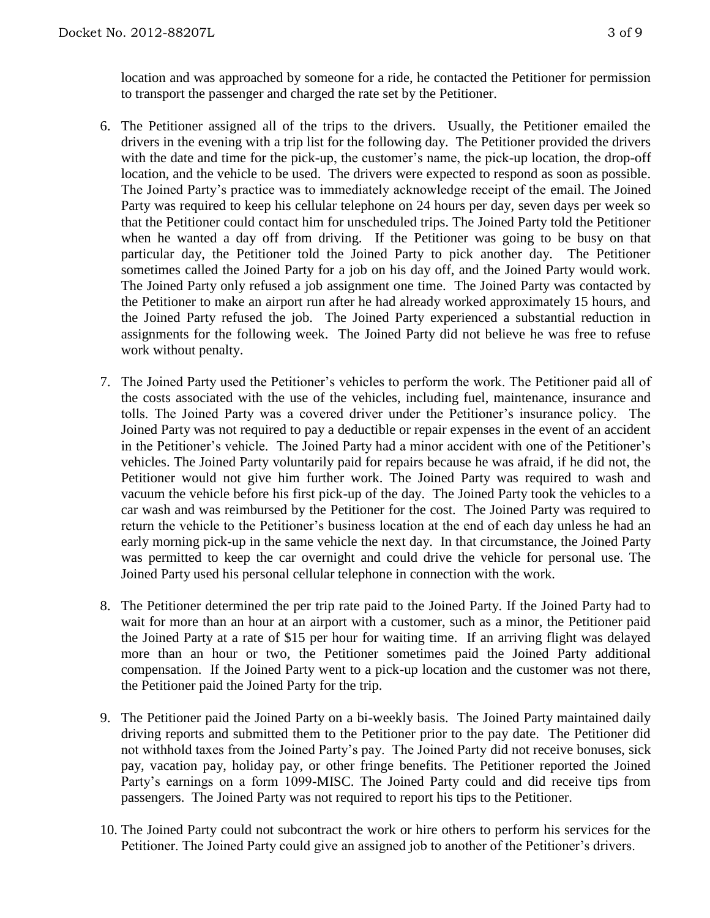location and was approached by someone for a ride, he contacted the Petitioner for permission to transport the passenger and charged the rate set by the Petitioner.

- 6. The Petitioner assigned all of the trips to the drivers. Usually, the Petitioner emailed the drivers in the evening with a trip list for the following day. The Petitioner provided the drivers with the date and time for the pick-up, the customer's name, the pick-up location, the drop-off location, and the vehicle to be used. The drivers were expected to respond as soon as possible. The Joined Party's practice was to immediately acknowledge receipt of the email. The Joined Party was required to keep his cellular telephone on 24 hours per day, seven days per week so that the Petitioner could contact him for unscheduled trips. The Joined Party told the Petitioner when he wanted a day off from driving. If the Petitioner was going to be busy on that particular day, the Petitioner told the Joined Party to pick another day. The Petitioner sometimes called the Joined Party for a job on his day off, and the Joined Party would work. The Joined Party only refused a job assignment one time. The Joined Party was contacted by the Petitioner to make an airport run after he had already worked approximately 15 hours, and the Joined Party refused the job. The Joined Party experienced a substantial reduction in assignments for the following week. The Joined Party did not believe he was free to refuse work without penalty.
- 7. The Joined Party used the Petitioner's vehicles to perform the work. The Petitioner paid all of the costs associated with the use of the vehicles, including fuel, maintenance, insurance and tolls. The Joined Party was a covered driver under the Petitioner's insurance policy. The Joined Party was not required to pay a deductible or repair expenses in the event of an accident in the Petitioner's vehicle. The Joined Party had a minor accident with one of the Petitioner's vehicles. The Joined Party voluntarily paid for repairs because he was afraid, if he did not, the Petitioner would not give him further work. The Joined Party was required to wash and vacuum the vehicle before his first pick-up of the day. The Joined Party took the vehicles to a car wash and was reimbursed by the Petitioner for the cost. The Joined Party was required to return the vehicle to the Petitioner's business location at the end of each day unless he had an early morning pick-up in the same vehicle the next day. In that circumstance, the Joined Party was permitted to keep the car overnight and could drive the vehicle for personal use. The Joined Party used his personal cellular telephone in connection with the work.
- 8. The Petitioner determined the per trip rate paid to the Joined Party. If the Joined Party had to wait for more than an hour at an airport with a customer, such as a minor, the Petitioner paid the Joined Party at a rate of \$15 per hour for waiting time. If an arriving flight was delayed more than an hour or two, the Petitioner sometimes paid the Joined Party additional compensation. If the Joined Party went to a pick-up location and the customer was not there, the Petitioner paid the Joined Party for the trip.
- 9. The Petitioner paid the Joined Party on a bi-weekly basis. The Joined Party maintained daily driving reports and submitted them to the Petitioner prior to the pay date. The Petitioner did not withhold taxes from the Joined Party's pay. The Joined Party did not receive bonuses, sick pay, vacation pay, holiday pay, or other fringe benefits. The Petitioner reported the Joined Party's earnings on a form 1099-MISC. The Joined Party could and did receive tips from passengers. The Joined Party was not required to report his tips to the Petitioner.
- 10. The Joined Party could not subcontract the work or hire others to perform his services for the Petitioner. The Joined Party could give an assigned job to another of the Petitioner's drivers.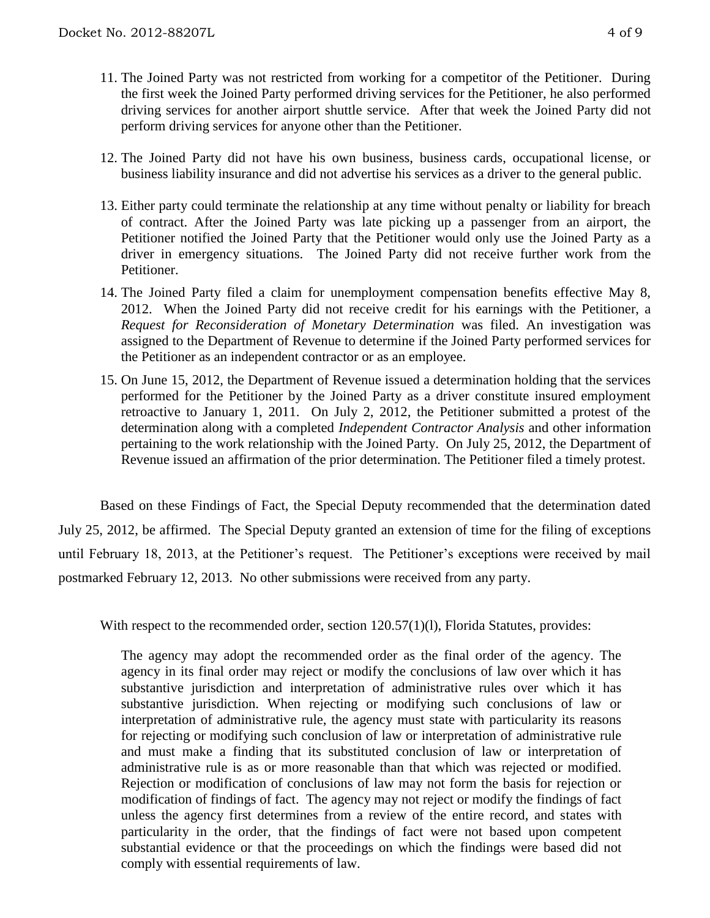- 11. The Joined Party was not restricted from working for a competitor of the Petitioner. During the first week the Joined Party performed driving services for the Petitioner, he also performed driving services for another airport shuttle service. After that week the Joined Party did not perform driving services for anyone other than the Petitioner.
- 12. The Joined Party did not have his own business, business cards, occupational license, or business liability insurance and did not advertise his services as a driver to the general public.
- 13. Either party could terminate the relationship at any time without penalty or liability for breach of contract. After the Joined Party was late picking up a passenger from an airport, the Petitioner notified the Joined Party that the Petitioner would only use the Joined Party as a driver in emergency situations. The Joined Party did not receive further work from the Petitioner.
- 14. The Joined Party filed a claim for unemployment compensation benefits effective May 8, 2012. When the Joined Party did not receive credit for his earnings with the Petitioner, a *Request for Reconsideration of Monetary Determination* was filed. An investigation was assigned to the Department of Revenue to determine if the Joined Party performed services for the Petitioner as an independent contractor or as an employee.
- 15. On June 15, 2012, the Department of Revenue issued a determination holding that the services performed for the Petitioner by the Joined Party as a driver constitute insured employment retroactive to January 1, 2011. On July 2, 2012, the Petitioner submitted a protest of the determination along with a completed *Independent Contractor Analysis* and other information pertaining to the work relationship with the Joined Party. On July 25, 2012, the Department of Revenue issued an affirmation of the prior determination. The Petitioner filed a timely protest.

Based on these Findings of Fact, the Special Deputy recommended that the determination dated July 25, 2012, be affirmed. The Special Deputy granted an extension of time for the filing of exceptions until February 18, 2013, at the Petitioner's request. The Petitioner's exceptions were received by mail postmarked February 12, 2013. No other submissions were received from any party.

With respect to the recommended order, section 120.57(1)(1), Florida Statutes, provides:

The agency may adopt the recommended order as the final order of the agency. The agency in its final order may reject or modify the conclusions of law over which it has substantive jurisdiction and interpretation of administrative rules over which it has substantive jurisdiction. When rejecting or modifying such conclusions of law or interpretation of administrative rule, the agency must state with particularity its reasons for rejecting or modifying such conclusion of law or interpretation of administrative rule and must make a finding that its substituted conclusion of law or interpretation of administrative rule is as or more reasonable than that which was rejected or modified. Rejection or modification of conclusions of law may not form the basis for rejection or modification of findings of fact. The agency may not reject or modify the findings of fact unless the agency first determines from a review of the entire record, and states with particularity in the order, that the findings of fact were not based upon competent substantial evidence or that the proceedings on which the findings were based did not comply with essential requirements of law.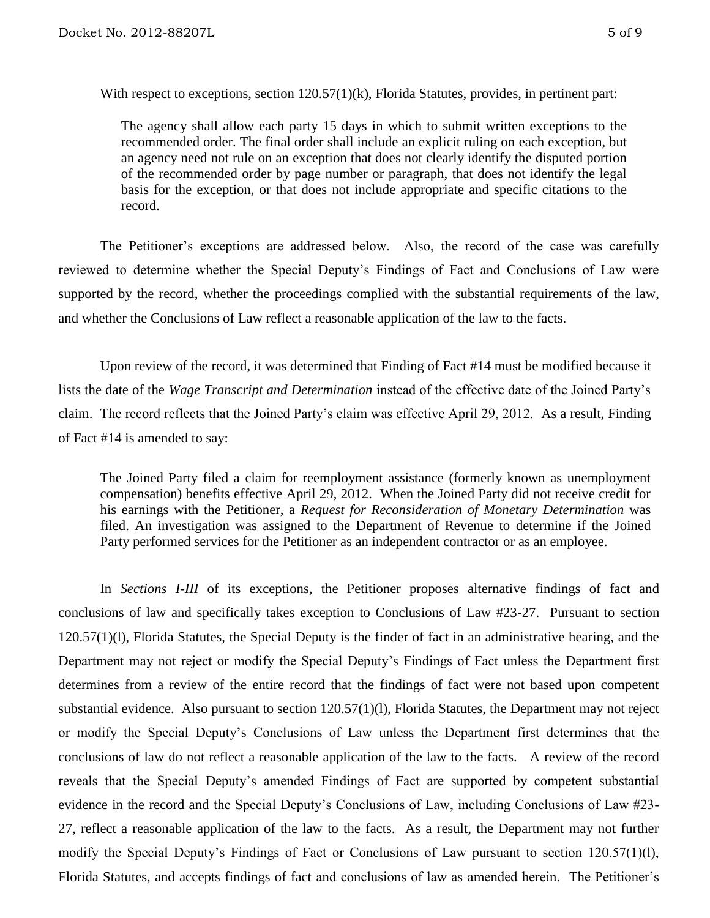With respect to exceptions, section  $120.57(1)(k)$ , Florida Statutes, provides, in pertinent part:

The agency shall allow each party 15 days in which to submit written exceptions to the recommended order. The final order shall include an explicit ruling on each exception, but an agency need not rule on an exception that does not clearly identify the disputed portion of the recommended order by page number or paragraph, that does not identify the legal basis for the exception, or that does not include appropriate and specific citations to the record.

The Petitioner's exceptions are addressed below. Also, the record of the case was carefully reviewed to determine whether the Special Deputy's Findings of Fact and Conclusions of Law were supported by the record, whether the proceedings complied with the substantial requirements of the law, and whether the Conclusions of Law reflect a reasonable application of the law to the facts.

Upon review of the record, it was determined that Finding of Fact #14 must be modified because it lists the date of the *Wage Transcript and Determination* instead of the effective date of the Joined Party's claim. The record reflects that the Joined Party's claim was effective April 29, 2012. As a result, Finding of Fact #14 is amended to say:

The Joined Party filed a claim for reemployment assistance (formerly known as unemployment compensation) benefits effective April 29, 2012. When the Joined Party did not receive credit for his earnings with the Petitioner, a *Request for Reconsideration of Monetary Determination* was filed. An investigation was assigned to the Department of Revenue to determine if the Joined Party performed services for the Petitioner as an independent contractor or as an employee.

In *Sections I-III* of its exceptions, the Petitioner proposes alternative findings of fact and conclusions of law and specifically takes exception to Conclusions of Law #23-27. Pursuant to section 120.57(1)(l), Florida Statutes, the Special Deputy is the finder of fact in an administrative hearing, and the Department may not reject or modify the Special Deputy's Findings of Fact unless the Department first determines from a review of the entire record that the findings of fact were not based upon competent substantial evidence. Also pursuant to section 120.57(1)(l), Florida Statutes, the Department may not reject or modify the Special Deputy's Conclusions of Law unless the Department first determines that the conclusions of law do not reflect a reasonable application of the law to the facts. A review of the record reveals that the Special Deputy's amended Findings of Fact are supported by competent substantial evidence in the record and the Special Deputy's Conclusions of Law, including Conclusions of Law #23- 27, reflect a reasonable application of the law to the facts. As a result, the Department may not further modify the Special Deputy's Findings of Fact or Conclusions of Law pursuant to section 120.57(1)(l), Florida Statutes, and accepts findings of fact and conclusions of law as amended herein. The Petitioner's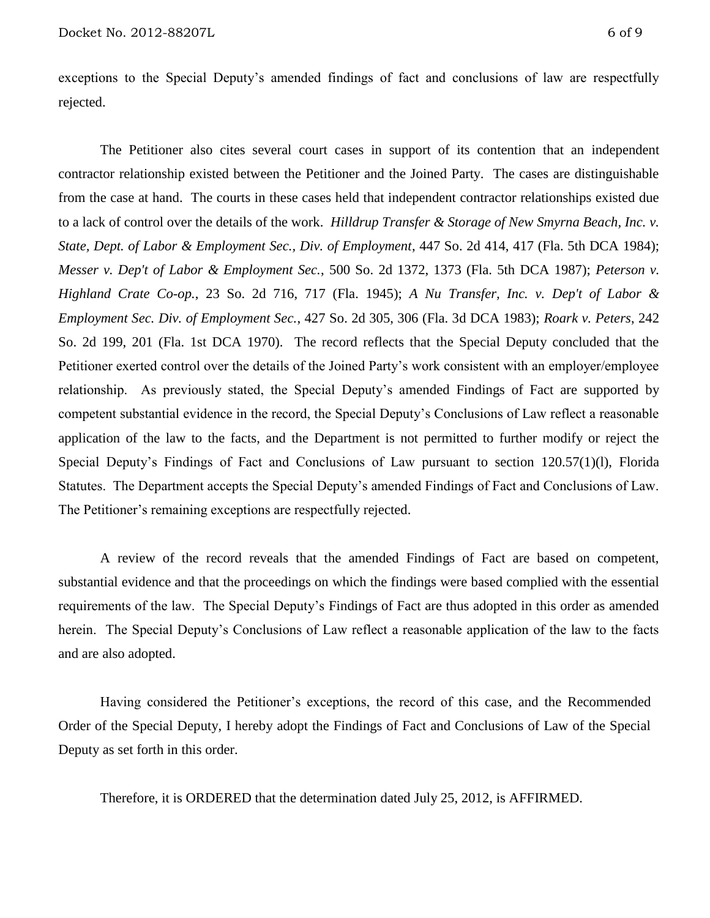exceptions to the Special Deputy's amended findings of fact and conclusions of law are respectfully rejected.

The Petitioner also cites several court cases in support of its contention that an independent contractor relationship existed between the Petitioner and the Joined Party. The cases are distinguishable from the case at hand. The courts in these cases held that independent contractor relationships existed due to a lack of control over the details of the work. *Hilldrup Transfer & Storage of New Smyrna Beach, Inc. v. State, Dept. of Labor & Employment Sec., Div. of Employment*, 447 So. 2d 414, 417 (Fla. 5th DCA 1984); *Messer v. Dep't of Labor & Employment Sec.*, 500 So. 2d 1372, 1373 (Fla. 5th DCA 1987); *Peterson v. Highland Crate Co-op.*, 23 So. 2d 716, 717 (Fla. 1945); *A Nu Transfer, Inc. v. Dep't of Labor & Employment Sec. Div. of Employment Sec.*, 427 So. 2d 305, 306 (Fla. 3d DCA 1983); *Roark v. Peters*, 242 So. 2d 199, 201 (Fla. 1st DCA 1970). The record reflects that the Special Deputy concluded that the Petitioner exerted control over the details of the Joined Party's work consistent with an employer/employee relationship. As previously stated, the Special Deputy's amended Findings of Fact are supported by competent substantial evidence in the record, the Special Deputy's Conclusions of Law reflect a reasonable application of the law to the facts, and the Department is not permitted to further modify or reject the Special Deputy's Findings of Fact and Conclusions of Law pursuant to section 120.57(1)(l), Florida Statutes. The Department accepts the Special Deputy's amended Findings of Fact and Conclusions of Law. The Petitioner's remaining exceptions are respectfully rejected.

A review of the record reveals that the amended Findings of Fact are based on competent, substantial evidence and that the proceedings on which the findings were based complied with the essential requirements of the law. The Special Deputy's Findings of Fact are thus adopted in this order as amended herein. The Special Deputy's Conclusions of Law reflect a reasonable application of the law to the facts and are also adopted.

Having considered the Petitioner's exceptions, the record of this case, and the Recommended Order of the Special Deputy, I hereby adopt the Findings of Fact and Conclusions of Law of the Special Deputy as set forth in this order.

Therefore, it is ORDERED that the determination dated July 25, 2012, is AFFIRMED.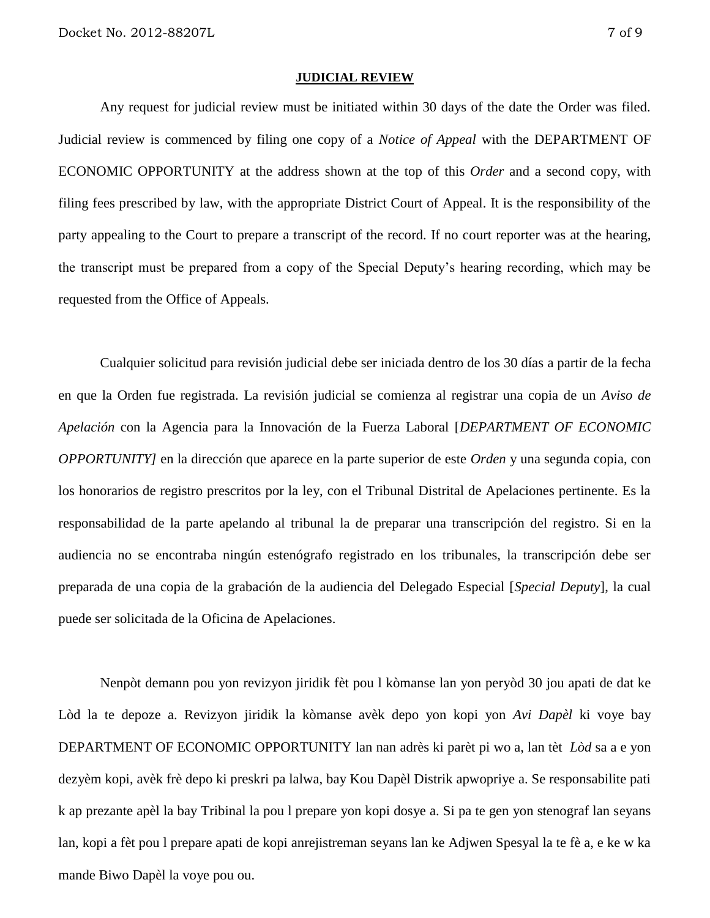#### **JUDICIAL REVIEW**

Any request for judicial review must be initiated within 30 days of the date the Order was filed. Judicial review is commenced by filing one copy of a *Notice of Appeal* with the DEPARTMENT OF ECONOMIC OPPORTUNITY at the address shown at the top of this *Order* and a second copy, with filing fees prescribed by law, with the appropriate District Court of Appeal. It is the responsibility of the party appealing to the Court to prepare a transcript of the record. If no court reporter was at the hearing, the transcript must be prepared from a copy of the Special Deputy's hearing recording, which may be requested from the Office of Appeals.

Cualquier solicitud para revisión judicial debe ser iniciada dentro de los 30 días a partir de la fecha en que la Orden fue registrada. La revisión judicial se comienza al registrar una copia de un *Aviso de Apelación* con la Agencia para la Innovación de la Fuerza Laboral [*DEPARTMENT OF ECONOMIC OPPORTUNITY]* en la dirección que aparece en la parte superior de este *Orden* y una segunda copia, con los honorarios de registro prescritos por la ley, con el Tribunal Distrital de Apelaciones pertinente. Es la responsabilidad de la parte apelando al tribunal la de preparar una transcripción del registro. Si en la audiencia no se encontraba ningún estenógrafo registrado en los tribunales, la transcripción debe ser preparada de una copia de la grabación de la audiencia del Delegado Especial [*Special Deputy*], la cual puede ser solicitada de la Oficina de Apelaciones.

Nenpòt demann pou yon revizyon jiridik fèt pou l kòmanse lan yon peryòd 30 jou apati de dat ke Lòd la te depoze a. Revizyon jiridik la kòmanse avèk depo yon kopi yon *Avi Dapèl* ki voye bay DEPARTMENT OF ECONOMIC OPPORTUNITY lan nan adrès ki parèt pi wo a, lan tèt *Lòd* sa a e yon dezyèm kopi, avèk frè depo ki preskri pa lalwa, bay Kou Dapèl Distrik apwopriye a. Se responsabilite pati k ap prezante apèl la bay Tribinal la pou l prepare yon kopi dosye a. Si pa te gen yon stenograf lan seyans lan, kopi a fèt pou l prepare apati de kopi anrejistreman seyans lan ke Adjwen Spesyal la te fè a, e ke w ka mande Biwo Dapèl la voye pou ou.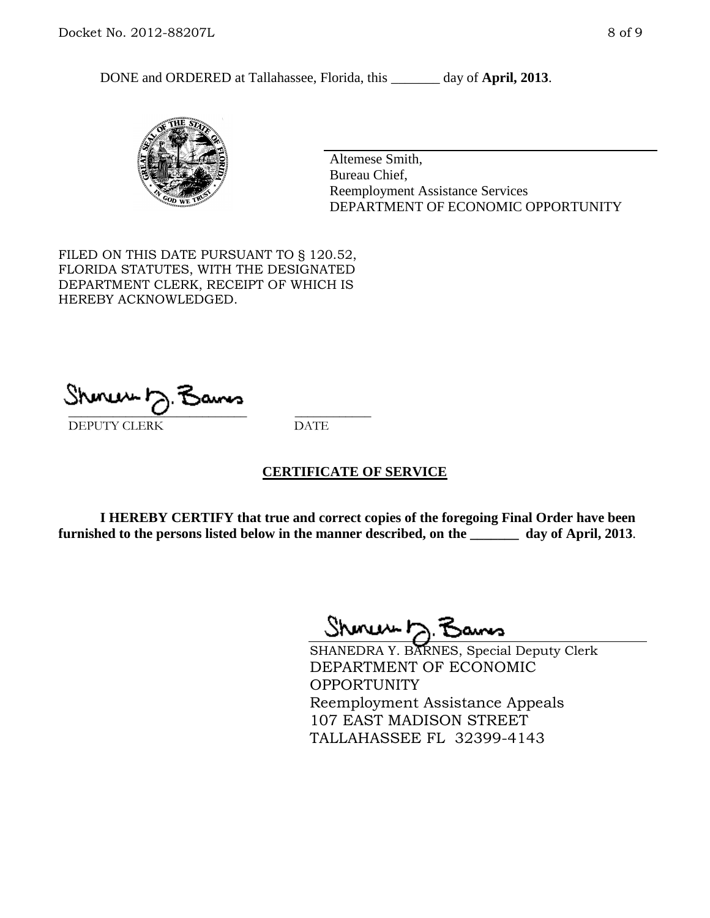DONE and ORDERED at Tallahassee, Florida, this \_\_\_\_\_\_\_ day of **April, 2013**.



Altemese Smith, Bureau Chief, Reemployment Assistance Services DEPARTMENT OF ECONOMIC OPPORTUNITY

FILED ON THIS DATE PURSUANT TO § 120.52, FLORIDA STATUTES, WITH THE DESIGNATED DEPARTMENT CLERK, RECEIPT OF WHICH IS HEREBY ACKNOWLEDGED.

 $\overline{\phantom{a}}$  ,  $\overline{\phantom{a}}$  ,  $\overline{\phantom{a}}$  ,  $\overline{\phantom{a}}$  ,  $\overline{\phantom{a}}$  ,  $\overline{\phantom{a}}$  ,  $\overline{\phantom{a}}$  ,  $\overline{\phantom{a}}$  ,  $\overline{\phantom{a}}$  ,  $\overline{\phantom{a}}$  ,  $\overline{\phantom{a}}$  ,  $\overline{\phantom{a}}$  ,  $\overline{\phantom{a}}$  ,  $\overline{\phantom{a}}$  ,  $\overline{\phantom{a}}$  ,  $\overline{\phantom{a}}$ DEPUTY CLERK DATE

### **CERTIFICATE OF SERVICE**

**I HEREBY CERTIFY that true and correct copies of the foregoing Final Order have been furnished to the persons listed below in the manner described, on the \_\_\_\_\_\_\_ day of April, 2013**.

 $ShmumE, F$ 

SHANEDRA Y. BARNES, Special Deputy Clerk DEPARTMENT OF ECONOMIC **OPPORTUNITY** Reemployment Assistance Appeals 107 EAST MADISON STREET TALLAHASSEE FL 32399-4143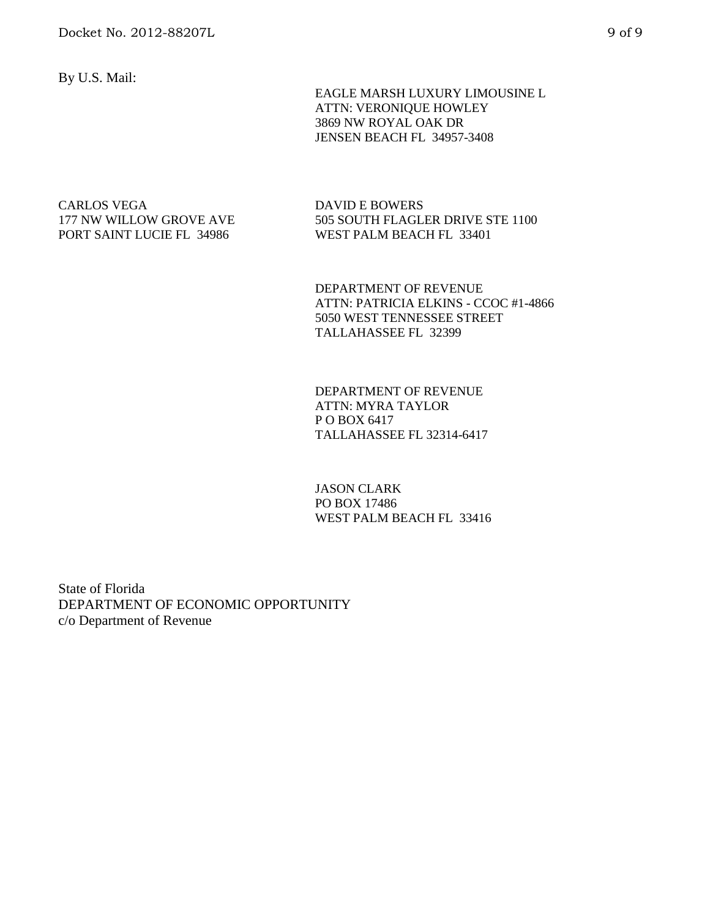By U.S. Mail:

 EAGLE MARSH LUXURY LIMOUSINE L ATTN: VERONIQUE HOWLEY 3869 NW ROYAL OAK DR JENSEN BEACH FL 34957-3408

### CARLOS VEGA 177 NW WILLOW GROVE AVE PORT SAINT LUCIE FL 34986

DAVID E BOWERS 505 SOUTH FLAGLER DRIVE STE 1100 WEST PALM BEACH FL 33401

DEPARTMENT OF REVENUE ATTN: PATRICIA ELKINS - CCOC #1-4866 5050 WEST TENNESSEE STREET TALLAHASSEE FL 32399

DEPARTMENT OF REVENUE ATTN: MYRA TAYLOR P O BOX 6417 TALLAHASSEE FL 32314-6417

JASON CLARK PO BOX 17486 WEST PALM BEACH FL 33416

State of Florida DEPARTMENT OF ECONOMIC OPPORTUNITY c/o Department of Revenue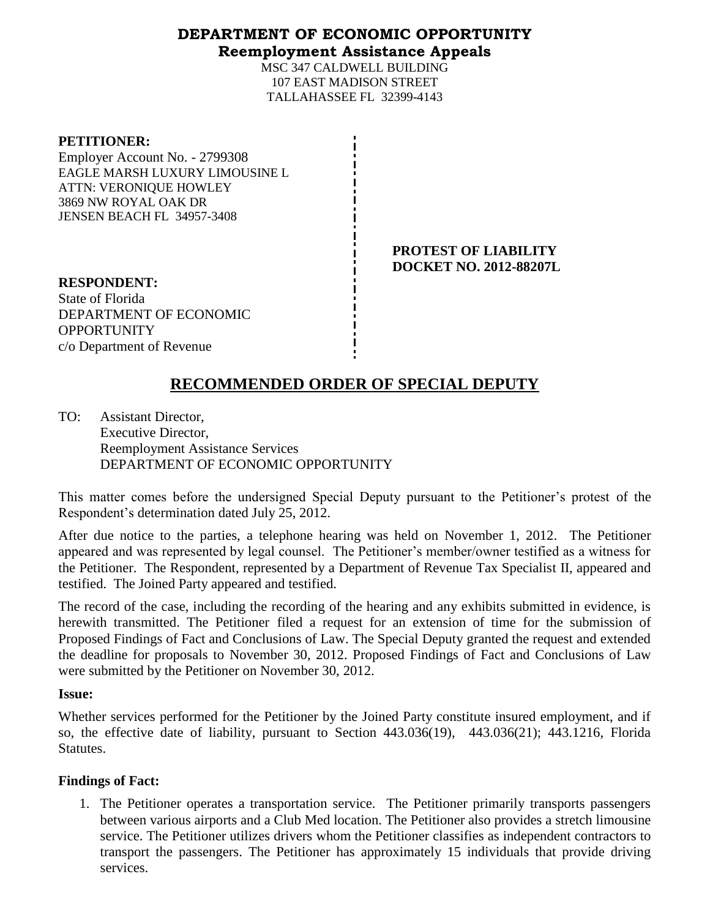## **DEPARTMENT OF ECONOMIC OPPORTUNITY Reemployment Assistance Appeals**

MSC 347 CALDWELL BUILDING 107 EAST MADISON STREET TALLAHASSEE FL 32399-4143

| <b>PETITIONER:</b>             |
|--------------------------------|
| Employer Account No. - 2799308 |
| EAGLE MARSH LUXURY LIMOUSINE L |
| <b>ATTN: VERONIQUE HOWLEY</b>  |
| 3869 NW ROYAL OAK DR           |
| JENSEN BEACH FL 34957-3408     |
|                                |

**PROTEST OF LIABILITY DOCKET NO. 2012-88207L**

**RESPONDENT:** State of Florida DEPARTMENT OF ECONOMIC **OPPORTUNITY** c/o Department of Revenue

# **RECOMMENDED ORDER OF SPECIAL DEPUTY**

TO: Assistant Director, Executive Director, Reemployment Assistance Services DEPARTMENT OF ECONOMIC OPPORTUNITY

This matter comes before the undersigned Special Deputy pursuant to the Petitioner's protest of the Respondent's determination dated July 25, 2012.

After due notice to the parties, a telephone hearing was held on November 1, 2012. The Petitioner appeared and was represented by legal counsel. The Petitioner's member/owner testified as a witness for the Petitioner. The Respondent, represented by a Department of Revenue Tax Specialist II, appeared and testified. The Joined Party appeared and testified.

The record of the case, including the recording of the hearing and any exhibits submitted in evidence, is herewith transmitted. The Petitioner filed a request for an extension of time for the submission of Proposed Findings of Fact and Conclusions of Law. The Special Deputy granted the request and extended the deadline for proposals to November 30, 2012. Proposed Findings of Fact and Conclusions of Law were submitted by the Petitioner on November 30, 2012.

### **Issue:**

Whether services performed for the Petitioner by the Joined Party constitute insured employment, and if so, the effective date of liability, pursuant to Section 443.036(19), 443.036(21); 443.1216, Florida **Statutes.** 

## **Findings of Fact:**

1. The Petitioner operates a transportation service. The Petitioner primarily transports passengers between various airports and a Club Med location. The Petitioner also provides a stretch limousine service. The Petitioner utilizes drivers whom the Petitioner classifies as independent contractors to transport the passengers. The Petitioner has approximately 15 individuals that provide driving services.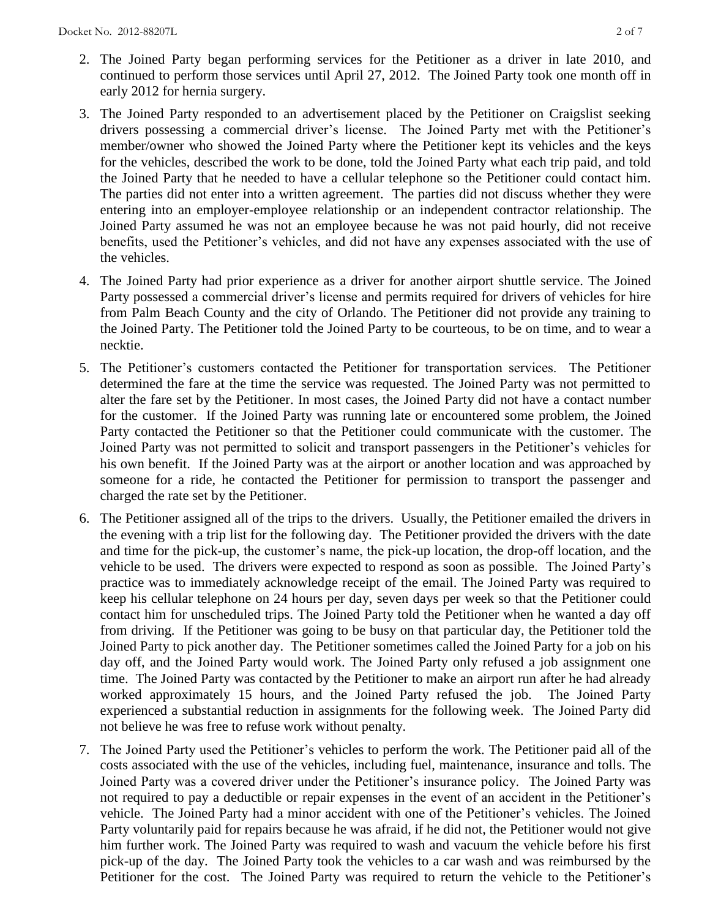- 2. The Joined Party began performing services for the Petitioner as a driver in late 2010, and continued to perform those services until April 27, 2012. The Joined Party took one month off in early 2012 for hernia surgery.
- 3. The Joined Party responded to an advertisement placed by the Petitioner on Craigslist seeking drivers possessing a commercial driver's license. The Joined Party met with the Petitioner's member/owner who showed the Joined Party where the Petitioner kept its vehicles and the keys for the vehicles, described the work to be done, told the Joined Party what each trip paid, and told the Joined Party that he needed to have a cellular telephone so the Petitioner could contact him. The parties did not enter into a written agreement. The parties did not discuss whether they were entering into an employer-employee relationship or an independent contractor relationship. The Joined Party assumed he was not an employee because he was not paid hourly, did not receive benefits, used the Petitioner's vehicles, and did not have any expenses associated with the use of the vehicles.
- 4. The Joined Party had prior experience as a driver for another airport shuttle service. The Joined Party possessed a commercial driver's license and permits required for drivers of vehicles for hire from Palm Beach County and the city of Orlando. The Petitioner did not provide any training to the Joined Party. The Petitioner told the Joined Party to be courteous, to be on time, and to wear a necktie.
- 5. The Petitioner's customers contacted the Petitioner for transportation services. The Petitioner determined the fare at the time the service was requested. The Joined Party was not permitted to alter the fare set by the Petitioner. In most cases, the Joined Party did not have a contact number for the customer. If the Joined Party was running late or encountered some problem, the Joined Party contacted the Petitioner so that the Petitioner could communicate with the customer. The Joined Party was not permitted to solicit and transport passengers in the Petitioner's vehicles for his own benefit. If the Joined Party was at the airport or another location and was approached by someone for a ride, he contacted the Petitioner for permission to transport the passenger and charged the rate set by the Petitioner.
- 6. The Petitioner assigned all of the trips to the drivers. Usually, the Petitioner emailed the drivers in the evening with a trip list for the following day. The Petitioner provided the drivers with the date and time for the pick-up, the customer's name, the pick-up location, the drop-off location, and the vehicle to be used. The drivers were expected to respond as soon as possible. The Joined Party's practice was to immediately acknowledge receipt of the email. The Joined Party was required to keep his cellular telephone on 24 hours per day, seven days per week so that the Petitioner could contact him for unscheduled trips. The Joined Party told the Petitioner when he wanted a day off from driving. If the Petitioner was going to be busy on that particular day, the Petitioner told the Joined Party to pick another day. The Petitioner sometimes called the Joined Party for a job on his day off, and the Joined Party would work. The Joined Party only refused a job assignment one time. The Joined Party was contacted by the Petitioner to make an airport run after he had already worked approximately 15 hours, and the Joined Party refused the job. The Joined Party experienced a substantial reduction in assignments for the following week. The Joined Party did not believe he was free to refuse work without penalty.
- 7. The Joined Party used the Petitioner's vehicles to perform the work. The Petitioner paid all of the costs associated with the use of the vehicles, including fuel, maintenance, insurance and tolls. The Joined Party was a covered driver under the Petitioner's insurance policy. The Joined Party was not required to pay a deductible or repair expenses in the event of an accident in the Petitioner's vehicle. The Joined Party had a minor accident with one of the Petitioner's vehicles. The Joined Party voluntarily paid for repairs because he was afraid, if he did not, the Petitioner would not give him further work. The Joined Party was required to wash and vacuum the vehicle before his first pick-up of the day. The Joined Party took the vehicles to a car wash and was reimbursed by the Petitioner for the cost. The Joined Party was required to return the vehicle to the Petitioner's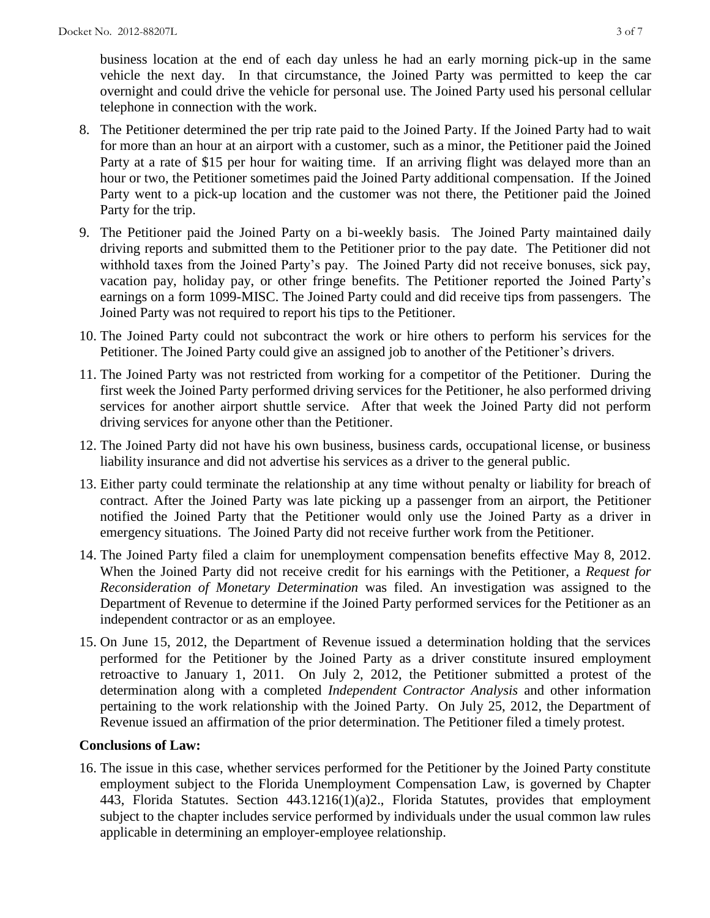business location at the end of each day unless he had an early morning pick-up in the same vehicle the next day. In that circumstance, the Joined Party was permitted to keep the car overnight and could drive the vehicle for personal use. The Joined Party used his personal cellular telephone in connection with the work.

- 8. The Petitioner determined the per trip rate paid to the Joined Party. If the Joined Party had to wait for more than an hour at an airport with a customer, such as a minor, the Petitioner paid the Joined Party at a rate of \$15 per hour for waiting time. If an arriving flight was delayed more than an hour or two, the Petitioner sometimes paid the Joined Party additional compensation. If the Joined Party went to a pick-up location and the customer was not there, the Petitioner paid the Joined Party for the trip.
- 9. The Petitioner paid the Joined Party on a bi-weekly basis. The Joined Party maintained daily driving reports and submitted them to the Petitioner prior to the pay date. The Petitioner did not withhold taxes from the Joined Party's pay. The Joined Party did not receive bonuses, sick pay, vacation pay, holiday pay, or other fringe benefits. The Petitioner reported the Joined Party's earnings on a form 1099-MISC. The Joined Party could and did receive tips from passengers. The Joined Party was not required to report his tips to the Petitioner.
- 10. The Joined Party could not subcontract the work or hire others to perform his services for the Petitioner. The Joined Party could give an assigned job to another of the Petitioner's drivers.
- 11. The Joined Party was not restricted from working for a competitor of the Petitioner. During the first week the Joined Party performed driving services for the Petitioner, he also performed driving services for another airport shuttle service. After that week the Joined Party did not perform driving services for anyone other than the Petitioner.
- 12. The Joined Party did not have his own business, business cards, occupational license, or business liability insurance and did not advertise his services as a driver to the general public.
- 13. Either party could terminate the relationship at any time without penalty or liability for breach of contract. After the Joined Party was late picking up a passenger from an airport, the Petitioner notified the Joined Party that the Petitioner would only use the Joined Party as a driver in emergency situations. The Joined Party did not receive further work from the Petitioner.
- 14. The Joined Party filed a claim for unemployment compensation benefits effective May 8, 2012. When the Joined Party did not receive credit for his earnings with the Petitioner, a *Request for Reconsideration of Monetary Determination* was filed. An investigation was assigned to the Department of Revenue to determine if the Joined Party performed services for the Petitioner as an independent contractor or as an employee.
- 15. On June 15, 2012, the Department of Revenue issued a determination holding that the services performed for the Petitioner by the Joined Party as a driver constitute insured employment retroactive to January 1, 2011. On July 2, 2012, the Petitioner submitted a protest of the determination along with a completed *Independent Contractor Analysis* and other information pertaining to the work relationship with the Joined Party. On July 25, 2012, the Department of Revenue issued an affirmation of the prior determination. The Petitioner filed a timely protest.

## **Conclusions of Law:**

16. The issue in this case, whether services performed for the Petitioner by the Joined Party constitute employment subject to the Florida Unemployment Compensation Law, is governed by Chapter 443, Florida Statutes. Section 443.1216(1)(a)2., Florida Statutes, provides that employment subject to the chapter includes service performed by individuals under the usual common law rules applicable in determining an employer-employee relationship.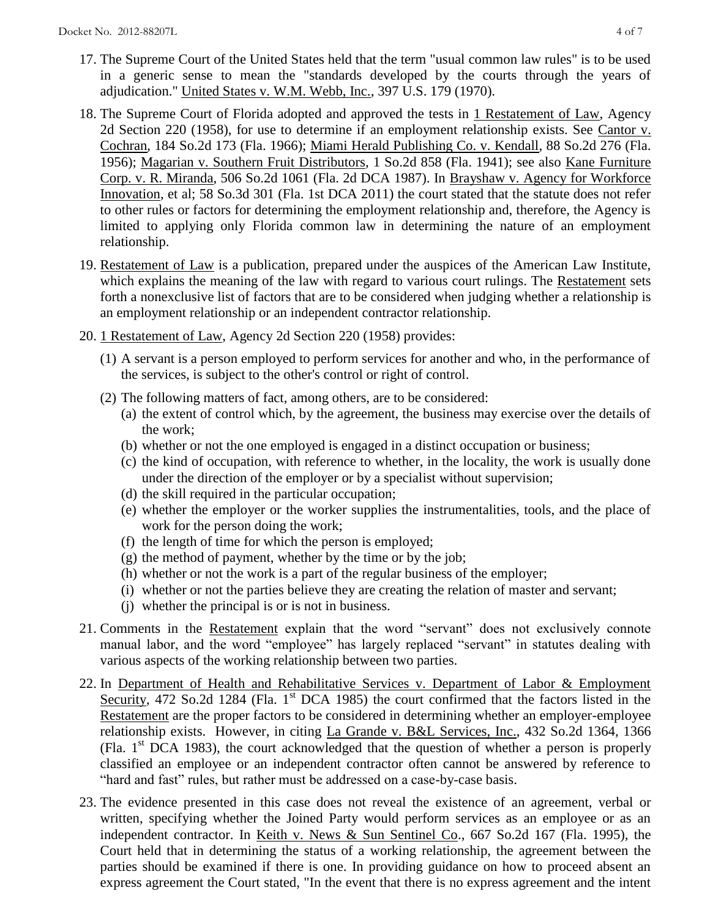- 17. The Supreme Court of the United States held that the term "usual common law rules" is to be used in a generic sense to mean the "standards developed by the courts through the years of adjudication." United States v. W.M. Webb, Inc., 397 U.S. 179 (1970).
- 18. The Supreme Court of Florida adopted and approved the tests in 1 Restatement of Law, Agency 2d Section 220 (1958), for use to determine if an employment relationship exists. See Cantor v. Cochran, 184 So.2d 173 (Fla. 1966); Miami Herald Publishing Co. v. Kendall, 88 So.2d 276 (Fla. 1956); Magarian v. Southern Fruit Distributors, 1 So.2d 858 (Fla. 1941); see also Kane Furniture Corp. v. R. Miranda, 506 So.2d 1061 (Fla. 2d DCA 1987). In Brayshaw v. Agency for Workforce Innovation, et al; 58 So.3d 301 (Fla. 1st DCA 2011) the court stated that the statute does not refer to other rules or factors for determining the employment relationship and, therefore, the Agency is limited to applying only Florida common law in determining the nature of an employment relationship.
- 19. Restatement of Law is a publication, prepared under the auspices of the American Law Institute, which explains the meaning of the law with regard to various court rulings. The Restatement sets forth a nonexclusive list of factors that are to be considered when judging whether a relationship is an employment relationship or an independent contractor relationship.
- 20. 1 Restatement of Law, Agency 2d Section 220 (1958) provides:
	- (1) A servant is a person employed to perform services for another and who, in the performance of the services, is subject to the other's control or right of control.
	- (2) The following matters of fact, among others, are to be considered:
		- (a) the extent of control which, by the agreement, the business may exercise over the details of the work;
		- (b) whether or not the one employed is engaged in a distinct occupation or business;
		- (c) the kind of occupation, with reference to whether, in the locality, the work is usually done under the direction of the employer or by a specialist without supervision;
		- (d) the skill required in the particular occupation;
		- (e) whether the employer or the worker supplies the instrumentalities, tools, and the place of work for the person doing the work;
		- (f) the length of time for which the person is employed;
		- (g) the method of payment, whether by the time or by the job;
		- (h) whether or not the work is a part of the regular business of the employer;
		- (i) whether or not the parties believe they are creating the relation of master and servant;
		- (j) whether the principal is or is not in business.
- 21. Comments in the Restatement explain that the word "servant" does not exclusively connote manual labor, and the word "employee" has largely replaced "servant" in statutes dealing with various aspects of the working relationship between two parties.
- 22. In Department of Health and Rehabilitative Services v. Department of Labor & Employment Security, 472 So.2d 1284 (Fla.  $1<sup>st</sup>$  DCA 1985) the court confirmed that the factors listed in the Restatement are the proper factors to be considered in determining whether an employer-employee relationship exists. However, in citing La Grande v. B&L Services, Inc., 432 So.2d 1364, 1366 (Fla.  $1<sup>st</sup>$  DCA 1983), the court acknowledged that the question of whether a person is properly classified an employee or an independent contractor often cannot be answered by reference to "hard and fast" rules, but rather must be addressed on a case-by-case basis.
- 23. The evidence presented in this case does not reveal the existence of an agreement, verbal or written, specifying whether the Joined Party would perform services as an employee or as an independent contractor. In Keith v. News & Sun Sentinel Co., 667 So.2d 167 (Fla. 1995), the Court held that in determining the status of a working relationship, the agreement between the parties should be examined if there is one. In providing guidance on how to proceed absent an express agreement the Court stated, "In the event that there is no express agreement and the intent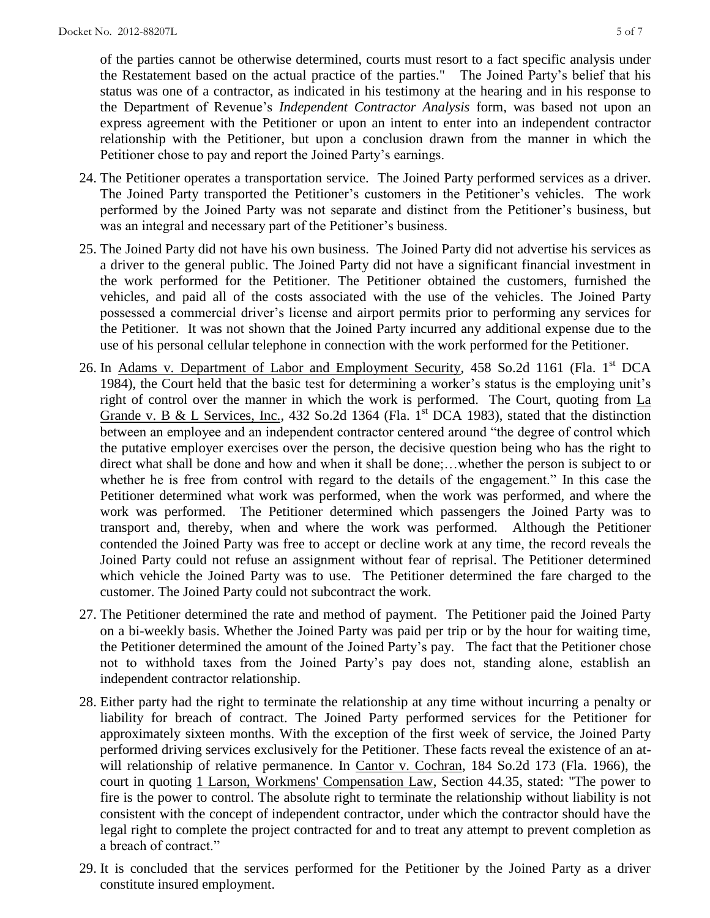of the parties cannot be otherwise determined, courts must resort to a fact specific analysis under the Restatement based on the actual practice of the parties." The Joined Party's belief that his status was one of a contractor, as indicated in his testimony at the hearing and in his response to the Department of Revenue's *Independent Contractor Analysis* form, was based not upon an express agreement with the Petitioner or upon an intent to enter into an independent contractor relationship with the Petitioner, but upon a conclusion drawn from the manner in which the Petitioner chose to pay and report the Joined Party's earnings.

- 24. The Petitioner operates a transportation service. The Joined Party performed services as a driver. The Joined Party transported the Petitioner's customers in the Petitioner's vehicles. The work performed by the Joined Party was not separate and distinct from the Petitioner's business, but was an integral and necessary part of the Petitioner's business.
- 25. The Joined Party did not have his own business. The Joined Party did not advertise his services as a driver to the general public. The Joined Party did not have a significant financial investment in the work performed for the Petitioner. The Petitioner obtained the customers, furnished the vehicles, and paid all of the costs associated with the use of the vehicles. The Joined Party possessed a commercial driver's license and airport permits prior to performing any services for the Petitioner. It was not shown that the Joined Party incurred any additional expense due to the use of his personal cellular telephone in connection with the work performed for the Petitioner.
- 26. In Adams v. Department of Labor and Employment Security, 458 So.2d 1161 (Fla. 1<sup>st</sup> DCA 1984), the Court held that the basic test for determining a worker's status is the employing unit's right of control over the manner in which the work is performed. The Court, quoting from La Grande v. B & L Services, Inc., 432 So.2d 1364 (Fla.  $1<sup>st</sup>$  DCA 1983), stated that the distinction between an employee and an independent contractor centered around "the degree of control which the putative employer exercises over the person, the decisive question being who has the right to direct what shall be done and how and when it shall be done;…whether the person is subject to or whether he is free from control with regard to the details of the engagement." In this case the Petitioner determined what work was performed, when the work was performed, and where the work was performed. The Petitioner determined which passengers the Joined Party was to transport and, thereby, when and where the work was performed. Although the Petitioner contended the Joined Party was free to accept or decline work at any time, the record reveals the Joined Party could not refuse an assignment without fear of reprisal. The Petitioner determined which vehicle the Joined Party was to use. The Petitioner determined the fare charged to the customer. The Joined Party could not subcontract the work.
- 27. The Petitioner determined the rate and method of payment. The Petitioner paid the Joined Party on a bi-weekly basis. Whether the Joined Party was paid per trip or by the hour for waiting time, the Petitioner determined the amount of the Joined Party's pay. The fact that the Petitioner chose not to withhold taxes from the Joined Party's pay does not, standing alone, establish an independent contractor relationship.
- 28. Either party had the right to terminate the relationship at any time without incurring a penalty or liability for breach of contract. The Joined Party performed services for the Petitioner for approximately sixteen months. With the exception of the first week of service, the Joined Party performed driving services exclusively for the Petitioner. These facts reveal the existence of an atwill relationship of relative permanence. In Cantor v. Cochran, 184 So.2d 173 (Fla. 1966), the court in quoting 1 Larson, Workmens' Compensation Law, Section 44.35, stated: "The power to fire is the power to control. The absolute right to terminate the relationship without liability is not consistent with the concept of independent contractor, under which the contractor should have the legal right to complete the project contracted for and to treat any attempt to prevent completion as a breach of contract."
- 29. It is concluded that the services performed for the Petitioner by the Joined Party as a driver constitute insured employment.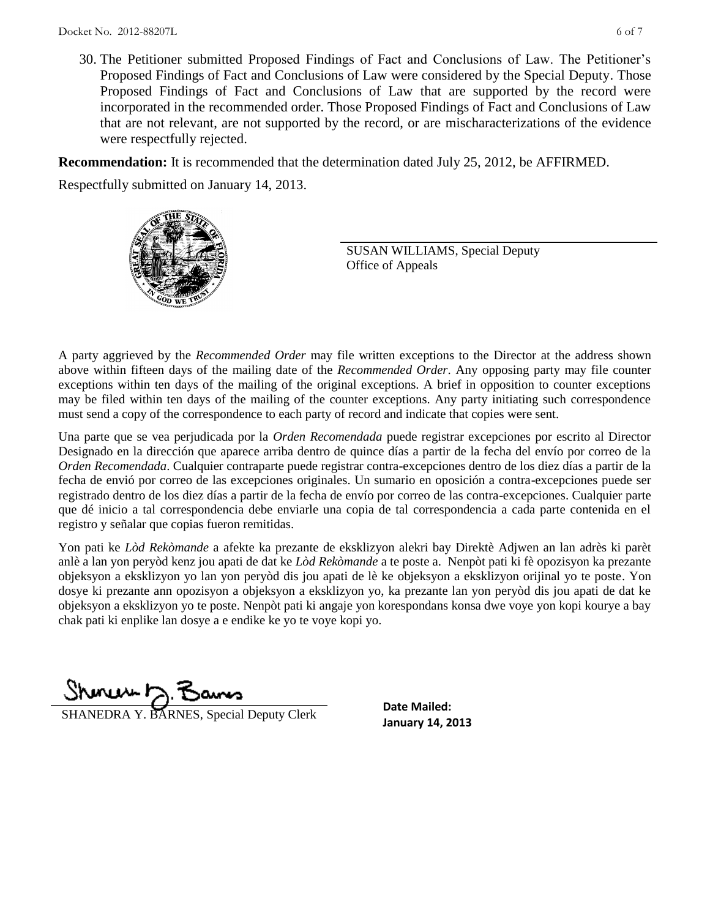30. The Petitioner submitted Proposed Findings of Fact and Conclusions of Law. The Petitioner's Proposed Findings of Fact and Conclusions of Law were considered by the Special Deputy. Those Proposed Findings of Fact and Conclusions of Law that are supported by the record were incorporated in the recommended order. Those Proposed Findings of Fact and Conclusions of Law that are not relevant, are not supported by the record, or are mischaracterizations of the evidence were respectfully rejected.

**Recommendation:** It is recommended that the determination dated July 25, 2012, be AFFIRMED.

Respectfully submitted on January 14, 2013.



SUSAN WILLIAMS, Special Deputy Office of Appeals

A party aggrieved by the *Recommended Order* may file written exceptions to the Director at the address shown above within fifteen days of the mailing date of the *Recommended Order*. Any opposing party may file counter exceptions within ten days of the mailing of the original exceptions. A brief in opposition to counter exceptions may be filed within ten days of the mailing of the counter exceptions. Any party initiating such correspondence must send a copy of the correspondence to each party of record and indicate that copies were sent.

Una parte que se vea perjudicada por la *Orden Recomendada* puede registrar excepciones por escrito al Director Designado en la dirección que aparece arriba dentro de quince días a partir de la fecha del envío por correo de la *Orden Recomendada*. Cualquier contraparte puede registrar contra-excepciones dentro de los diez días a partir de la fecha de envió por correo de las excepciones originales. Un sumario en oposición a contra-excepciones puede ser registrado dentro de los diez días a partir de la fecha de envío por correo de las contra-excepciones. Cualquier parte que dé inicio a tal correspondencia debe enviarle una copia de tal correspondencia a cada parte contenida en el registro y señalar que copias fueron remitidas.

Yon pati ke *Lòd Rekòmande* a afekte ka prezante de eksklizyon alekri bay Direktè Adjwen an lan adrès ki parèt anlè a lan yon peryòd kenz jou apati de dat ke *Lòd Rekòmande* a te poste a. Nenpòt pati ki fè opozisyon ka prezante objeksyon a eksklizyon yo lan yon peryòd dis jou apati de lè ke objeksyon a eksklizyon orijinal yo te poste. Yon dosye ki prezante ann opozisyon a objeksyon a eksklizyon yo, ka prezante lan yon peryòd dis jou apati de dat ke objeksyon a eksklizyon yo te poste. Nenpòt pati ki angaje yon korespondans konsa dwe voye yon kopi kourye a bay chak pati ki enplike lan dosye a e endike ke yo te voye kopi yo.

mu∧⊢h

**January 14, 2013**<br>**January 14, 2013** 

**Date Mailed:**